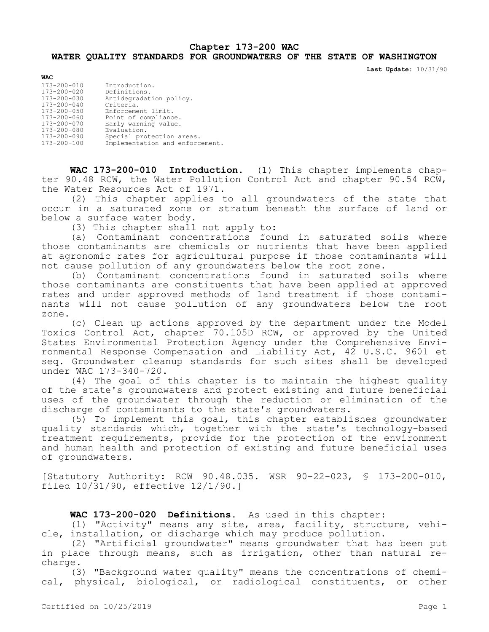## **Chapter 173-200 WAC WATER QUALITY STANDARDS FOR GROUNDWATERS OF THE STATE OF WASHINGTON**

**Last Update:** 10/31/90

| <b>WAC</b>        |                                 |
|-------------------|---------------------------------|
| $173 - 200 - 010$ | Introduction.                   |
| 173-200-020       | Definitions.                    |
| 173-200-030       | Antidegradation policy.         |
| $173 - 200 - 040$ | Criteria.                       |
| 173-200-050       | Enforcement limit.              |
| $173 - 200 - 060$ | Point of compliance.            |
| 173-200-070       | Early warning value.            |
| 173-200-080       | Evaluation.                     |
| 173-200-090       | Special protection areas.       |
| 173-200-100       | Implementation and enforcement. |

**WAC 173-200-010 Introduction.** (1) This chapter implements chapter 90.48 RCW, the Water Pollution Control Act and chapter 90.54 RCW, the Water Resources Act of 1971.

(2) This chapter applies to all groundwaters of the state that occur in a saturated zone or stratum beneath the surface of land or below a surface water body.

(3) This chapter shall not apply to:

(a) Contaminant concentrations found in saturated soils where those contaminants are chemicals or nutrients that have been applied at agronomic rates for agricultural purpose if those contaminants will not cause pollution of any groundwaters below the root zone.

(b) Contaminant concentrations found in saturated soils where those contaminants are constituents that have been applied at approved rates and under approved methods of land treatment if those contaminants will not cause pollution of any groundwaters below the root zone.

(c) Clean up actions approved by the department under the Model Toxics Control Act, chapter 70.105D RCW, or approved by the United States Environmental Protection Agency under the Comprehensive Environmental Response Compensation and Liability Act, 42 U.S.C. 9601 et seq. Groundwater cleanup standards for such sites shall be developed under WAC 173-340-720.

(4) The goal of this chapter is to maintain the highest quality of the state's groundwaters and protect existing and future beneficial uses of the groundwater through the reduction or elimination of the discharge of contaminants to the state's groundwaters.

(5) To implement this goal, this chapter establishes groundwater quality standards which, together with the state's technology-based treatment requirements, provide for the protection of the environment and human health and protection of existing and future beneficial uses of groundwaters.

[Statutory Authority: RCW 90.48.035. WSR 90-22-023, § 173-200-010, filed 10/31/90, effective 12/1/90.]

## **WAC 173-200-020 Definitions.** As used in this chapter:

(1) "Activity" means any site, area, facility, structure, vehicle, installation, or discharge which may produce pollution.

(2) "Artificial groundwater" means groundwater that has been put in place through means, such as irrigation, other than natural recharge.

(3) "Background water quality" means the concentrations of chemical, physical, biological, or radiological constituents, or other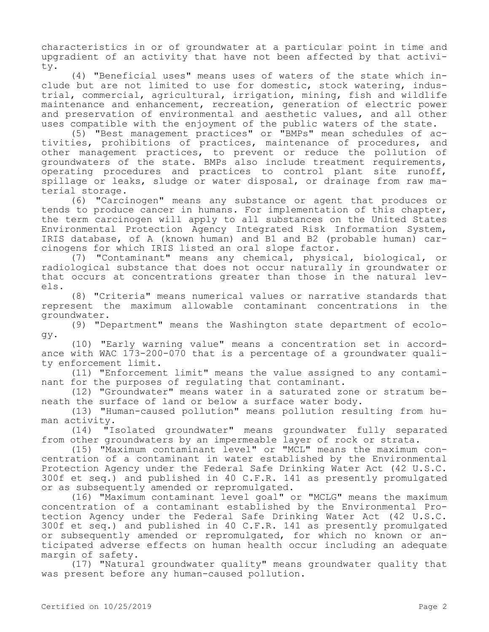characteristics in or of groundwater at a particular point in time and upgradient of an activity that have not been affected by that activity.

(4) "Beneficial uses" means uses of waters of the state which include but are not limited to use for domestic, stock watering, industrial, commercial, agricultural, irrigation, mining, fish and wildlife maintenance and enhancement, recreation, generation of electric power and preservation of environmental and aesthetic values, and all other uses compatible with the enjoyment of the public waters of the state.

(5) "Best management practices" or "BMPs" mean schedules of activities, prohibitions of practices, maintenance of procedures, and other management practices, to prevent or reduce the pollution of groundwaters of the state. BMPs also include treatment requirements, operating procedures and practices to control plant site runoff, spillage or leaks, sludge or water disposal, or drainage from raw material storage.

(6) "Carcinogen" means any substance or agent that produces or tends to produce cancer in humans. For implementation of this chapter, the term carcinogen will apply to all substances on the United States Environmental Protection Agency Integrated Risk Information System, IRIS database, of A (known human) and B1 and B2 (probable human) carcinogens for which IRIS listed an oral slope factor.

(7) "Contaminant" means any chemical, physical, biological, or radiological substance that does not occur naturally in groundwater or that occurs at concentrations greater than those in the natural levels.

(8) "Criteria" means numerical values or narrative standards that represent the maximum allowable contaminant concentrations in the groundwater.

(9) "Department" means the Washington state department of ecology.

(10) "Early warning value" means a concentration set in accordance with WAC  $1\bar{7}3-200-0\bar{70}$  that is a percentage of a groundwater quality enforcement limit.

(11) "Enforcement limit" means the value assigned to any contaminant for the purposes of regulating that contaminant.

(12) "Groundwater" means water in a saturated zone or stratum beneath the surface of land or below a surface water body.

(13) "Human-caused pollution" means pollution resulting from human activity.

(14) "Isolated groundwater" means groundwater fully separated from other groundwaters by an impermeable layer of rock or strata.

(15) "Maximum contaminant level" or "MCL" means the maximum concentration of a contaminant in water established by the Environmental Protection Agency under the Federal Safe Drinking Water Act (42 U.S.C. 300f et seq.) and published in 40 C.F.R. 141 as presently promulgated or as subsequently amended or repromulgated.

(16) "Maximum contaminant level goal" or "MCLG" means the maximum concentration of a contaminant established by the Environmental Protection Agency under the Federal Safe Drinking Water Act (42 U.S.C. 300f et seq.) and published in 40 C.F.R. 141 as presently promulgated or subsequently amended or repromulgated, for which no known or anticipated adverse effects on human health occur including an adequate margin of safety.

(17) "Natural groundwater quality" means groundwater quality that was present before any human-caused pollution.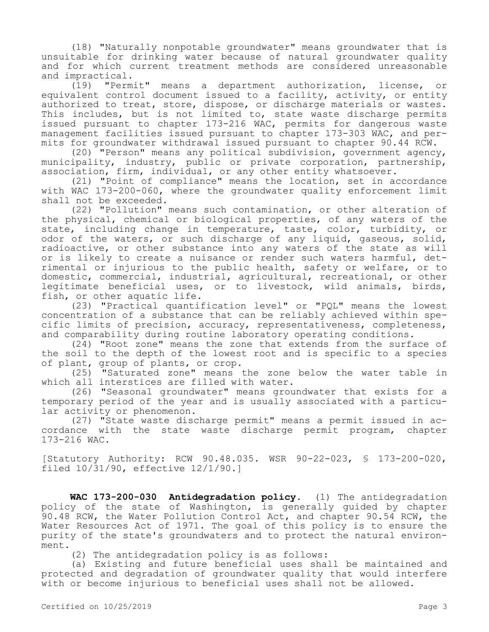(18) "Naturally nonpotable groundwater" means groundwater that is unsuitable for drinking water because of natural groundwater quality and for which current treatment methods are considered unreasonable and impractical.

(19) "Permit" means a department authorization, license, or equivalent control document issued to a facility, activity, or entity authorized to treat, store, dispose, or discharge materials or wastes. This includes, but is not limited to, state waste discharge permits issued pursuant to chapter 173-216 WAC, permits for dangerous waste management facilities issued pursuant to chapter 173-303 WAC, and permits for groundwater withdrawal issued pursuant to chapter 90.44 RCW.

(20) "Person" means any political subdivision, government agency, municipality, industry, public or private corporation, partnership, association, firm, individual, or any other entity whatsoever.

(21) "Point of compliance" means the location, set in accordance with WAC 173-200-060, where the groundwater quality enforcement limit shall not be exceeded.

(22) "Pollution" means such contamination, or other alteration of the physical, chemical or biological properties, of any waters of the state, including change in temperature, taste, color, turbidity, or odor of the waters, or such discharge of any liquid, gaseous, solid, radioactive, or other substance into any waters of the state as will or is likely to create a nuisance or render such waters harmful, detrimental or injurious to the public health, safety or welfare, or to domestic, commercial, industrial, agricultural, recreational, or other legitimate beneficial uses, or to livestock, wild animals, birds, fish, or other aquatic life.

(23) "Practical quantification level" or "PQL" means the lowest concentration of a substance that can be reliably achieved within specific limits of precision, accuracy, representativeness, completeness, and comparability during routine laboratory operating conditions.

(24) "Root zone" means the zone that extends from the surface of the soil to the depth of the lowest root and is specific to a species of plant, group of plants, or crop.

(25) "Saturated zone" means the zone below the water table in which all interstices are filled with water.

(26) "Seasonal groundwater" means groundwater that exists for a temporary period of the year and is usually associated with a particular activity or phenomenon.

(27) "State waste discharge permit" means a permit issued in accordance with the state waste discharge permit program, chapter 173-216 WAC.

[Statutory Authority: RCW 90.48.035. WSR 90-22-023, § 173-200-020, filed 10/31/90, effective 12/1/90.]

**WAC 173-200-030 Antidegradation policy.** (1) The antidegradation policy of the state of Washington, is generally guided by chapter 90.48 RCW, the Water Pollution Control Act, and chapter 90.54 RCW, the Water Resources Act of 1971. The goal of this policy is to ensure the purity of the state's groundwaters and to protect the natural environment.

(2) The antidegradation policy is as follows:

(a) Existing and future beneficial uses shall be maintained and protected and degradation of groundwater quality that would interfere with or become injurious to beneficial uses shall not be allowed.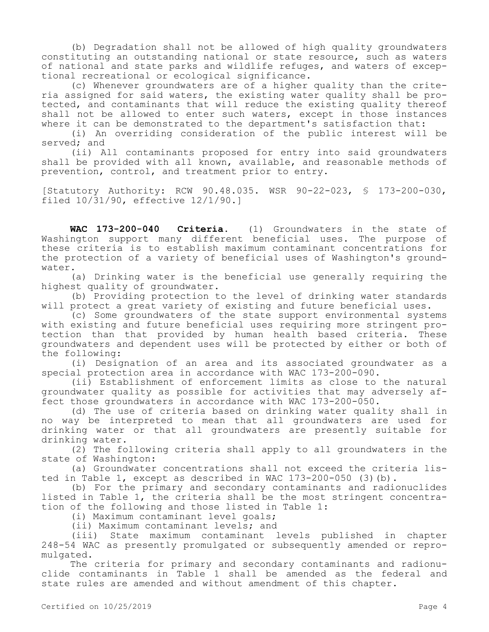(b) Degradation shall not be allowed of high quality groundwaters constituting an outstanding national or state resource, such as waters of national and state parks and wildlife refuges, and waters of exceptional recreational or ecological significance.

(c) Whenever groundwaters are of a higher quality than the criteria assigned for said waters, the existing water quality shall be protected, and contaminants that will reduce the existing quality thereof shall not be allowed to enter such waters, except in those instances where it can be demonstrated to the department's satisfaction that:

(i) An overriding consideration of the public interest will be served; and

(ii) All contaminants proposed for entry into said groundwaters shall be provided with all known, available, and reasonable methods of prevention, control, and treatment prior to entry.

[Statutory Authority: RCW 90.48.035. WSR 90-22-023, § 173-200-030, filed 10/31/90, effective 12/1/90.]

**WAC 173-200-040 Criteria.** (1) Groundwaters in the state of Washington support many different beneficial uses. The purpose of these criteria is to establish maximum contaminant concentrations for the protection of a variety of beneficial uses of Washington's groundwater.

(a) Drinking water is the beneficial use generally requiring the highest quality of groundwater.

(b) Providing protection to the level of drinking water standards will protect a great variety of existing and future beneficial uses.

(c) Some groundwaters of the state support environmental systems with existing and future beneficial uses requiring more stringent protection than that provided by human health based criteria. These groundwaters and dependent uses will be protected by either or both of the following:

(i) Designation of an area and its associated groundwater as a special protection area in accordance with WAC 173-200-090.

(ii) Establishment of enforcement limits as close to the natural groundwater quality as possible for activities that may adversely affect those groundwaters in accordance with WAC 173-200-050.

(d) The use of criteria based on drinking water quality shall in no way be interpreted to mean that all groundwaters are used for drinking water or that all groundwaters are presently suitable for drinking water.

(2) The following criteria shall apply to all groundwaters in the state of Washington:

(a) Groundwater concentrations shall not exceed the criteria listed in Table 1, except as described in WAC 173-200-050 (3)(b).

(b) For the primary and secondary contaminants and radionuclides listed in Table 1, the criteria shall be the most stringent concentration of the following and those listed in Table 1:

(i) Maximum contaminant level goals;

(ii) Maximum contaminant levels; and

(iii) State maximum contaminant levels published in chapter 248-54 WAC as presently promulgated or subsequently amended or repromulgated.

The criteria for primary and secondary contaminants and radionuclide contaminants in Table 1 shall be amended as the federal and state rules are amended and without amendment of this chapter.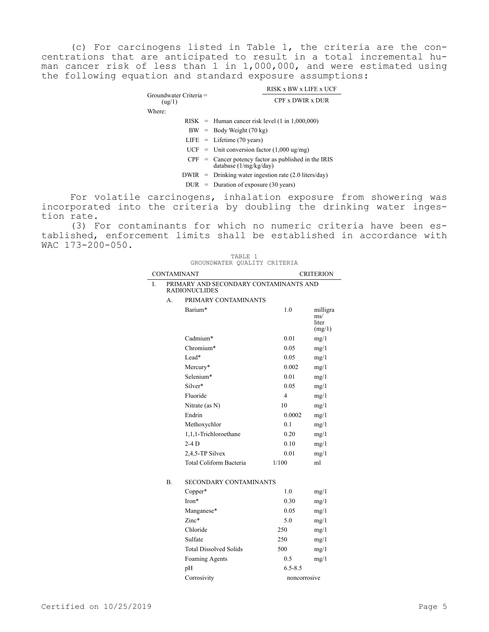(c) For carcinogens listed in Table 1, the criteria are the concentrations that are anticipated to result in a total incremental human cancer risk of less than 1 in 1,000,000, and were estimated using the following equation and standard exposure assumptions:

| $Groundwater Criteria =$<br>(ug/1) |  | RISK x BW x LIFE x UCF                                                             |  |  |
|------------------------------------|--|------------------------------------------------------------------------------------|--|--|
|                                    |  | CPF x DWIR x DUR                                                                   |  |  |
| Where:                             |  |                                                                                    |  |  |
|                                    |  | $RISK$ = Human cancer risk level (1 in 1,000,000)                                  |  |  |
|                                    |  | $BW = Body Weight (70 kg)$                                                         |  |  |
|                                    |  | $LIFE = Lifetime (70 years)$                                                       |  |  |
|                                    |  | $UCF =$ Unit conversion factor (1,000 ug/mg)                                       |  |  |
|                                    |  | $CPF$ = Cancer potency factor as published in the IRIS<br>database $(1/mg/kg/day)$ |  |  |
|                                    |  | $DWIR = Drinking water ingestion rate (2.0 liters/day)$                            |  |  |
|                                    |  | $DUR =$ Duration of exposure (30 years)                                            |  |  |

For volatile carcinogens, inhalation exposure from showering was incorporated into the criteria by doubling the drinking water ingestion rate.

(3) For contaminants for which no numeric criteria have been established, enforcement limits shall be established in accordance with WAC 173-200-050.

|                    |           | TABLE<br>1<br>GROUNDWATER QUALITY CRITERIA                     |                |                                             |
|--------------------|-----------|----------------------------------------------------------------|----------------|---------------------------------------------|
| <b>CONTAMINANT</b> |           |                                                                |                | <b>CRITERION</b>                            |
| Ī.                 |           | PRIMARY AND SECONDARY CONTAMINANTS AND<br><b>RADIONUCLIDES</b> |                |                                             |
|                    | А.        | PRIMARY CONTAMINANTS                                           |                |                                             |
|                    |           | Barium*                                                        | 1.0            | milligra<br>$\text{ms}/$<br>liter<br>(mg/1) |
|                    |           | Cadmium*                                                       | 0.01           | mg/1                                        |
|                    |           | Chromium*                                                      | 0.05           | mg/1                                        |
|                    |           | $Lead*$                                                        | 0.05           | mg/1                                        |
|                    |           | Mercury*                                                       | 0.002          | mg/1                                        |
|                    |           | Selenium*                                                      | 0.01           | mg/1                                        |
|                    |           | Silver*                                                        | 0.05           | mg/1                                        |
|                    |           | Fluoride                                                       | $\overline{4}$ | mg/1                                        |
|                    |           | Nitrate (as N)                                                 | 10             | mg/1                                        |
|                    |           | Endrin                                                         | 0.0002         | mg/1                                        |
|                    |           | Methoxychlor                                                   | 0.1            | mg/1                                        |
|                    |           | 1.1.1-Trichloroethane                                          | 0.20           | mg/1                                        |
|                    |           | $2-4D$                                                         | 0.10           | mg/1                                        |
|                    |           | 2,4,5-TP Silvex                                                | 0.01           | mg/1                                        |
|                    |           | Total Coliform Bacteria                                        | 1/100          | ml                                          |
|                    | <b>B.</b> | SECONDARY CONTAMINANTS                                         |                |                                             |
|                    |           | Copper*                                                        | 1.0            | mg/1                                        |
|                    |           | Iron*                                                          | 0.30           | mg/1                                        |
|                    |           | Manganese*                                                     | 0.05           | mg/1                                        |
|                    |           | $Zinc*$                                                        | 5.0            | mg/1                                        |
|                    |           | Chloride                                                       | 250            | mg/1                                        |
|                    |           | Sulfate                                                        | 250            | mg/1                                        |
|                    |           | <b>Total Dissolved Solids</b>                                  | 500            | mg/1                                        |
|                    |           | Foaming Agents                                                 | 0.5            | mg/1                                        |
|                    |           | pH                                                             | $6.5 - 8.5$    |                                             |
|                    |           | Corrosivity                                                    | noncorrosive   |                                             |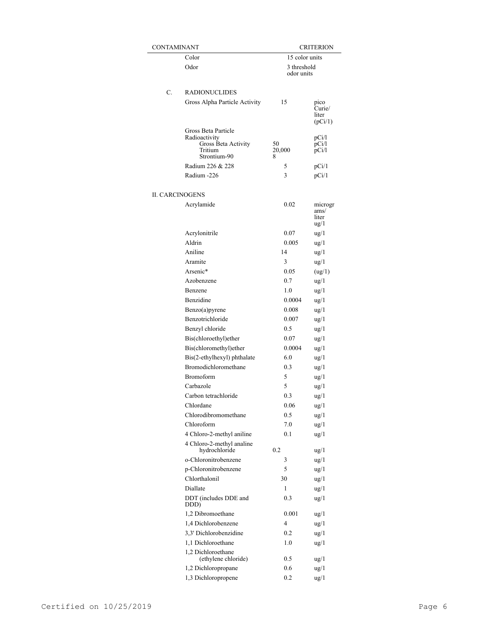| CONTAMINANT            |                                      | CRITERION      |                 |  |
|------------------------|--------------------------------------|----------------|-----------------|--|
|                        | Color                                | 15 color units |                 |  |
|                        | Odor                                 | 3 threshold    |                 |  |
|                        |                                      | odor units     |                 |  |
|                        |                                      |                |                 |  |
| C.                     | RADIONUCLIDES                        |                |                 |  |
|                        | Gross Alpha Particle Activity        | 15             | pico            |  |
|                        |                                      |                | Curie/<br>liter |  |
|                        |                                      |                | (pCi/1)         |  |
|                        | Gross Beta Particle                  |                |                 |  |
|                        | Radioactivity<br>Gross Beta Activity | 50             | pCi/l<br>pCi/l  |  |
|                        | Tritium                              | 20,000         | pCi/l           |  |
|                        | Strontium-90                         | 8              |                 |  |
|                        | Radium 226 & 228                     | 5              | pCi/1           |  |
|                        | Radium -226                          | 3              | pCi/1           |  |
|                        |                                      |                |                 |  |
| <b>II. CARCINOGENS</b> |                                      |                |                 |  |
|                        | Acrylamide                           | 0.02           | microgr         |  |
|                        |                                      |                | ams/<br>liter   |  |
|                        |                                      |                | $\frac{u}{g}$   |  |
|                        | Acrylonitrile                        | 0.07           | $\frac{u g}{1}$ |  |
|                        | Aldrin                               | 0.005          | $\frac{u g}{1}$ |  |
|                        | Aniline                              | 14             | $\frac{ug}{1}$  |  |
|                        | Aramite                              | 3              | ug/1            |  |
|                        | Arsenic*                             | 0.05           | (ug/1)          |  |
|                        | Azobenzene                           | 0.7            | $\frac{ug}{1}$  |  |
|                        | Benzene                              | 1.0            | ug/1            |  |
|                        | Benzidine                            | 0.0004         | ug/1            |  |
|                        | Benzo(a)pyrene                       | 0.008          | $\frac{ug}{1}$  |  |
|                        | Benzotrichloride                     | 0.007          | $\frac{ug}{1}$  |  |
|                        | Benzyl chloride                      | $0.5\,$        | $\frac{ug}{1}$  |  |
|                        | Bis(chloroethyl)ether                | 0.07           | $\frac{ug}{1}$  |  |
|                        | Bis(chloromethyl)ether               | 0.0004         | $\frac{ug}{1}$  |  |
|                        | Bis(2-ethylhexyl) phthalate          | 6.0            | $\frac{ug}{1}$  |  |
|                        | Bromodichloromethane                 | 0.3            | $\frac{ug}{1}$  |  |
|                        | Bromoform                            | 5              | $\frac{ug}{1}$  |  |
|                        | Carbazole                            | 5              | $\frac{u g}{1}$ |  |
|                        | Carbon tetrachloride                 | 0.3            | $\frac{u g}{1}$ |  |
|                        | Chlordane                            | 0.06           | $\frac{ug}{1}$  |  |
|                        | Chlorodibromomethane                 | 0.5            | $\frac{u g}{1}$ |  |
|                        | Chloroform                           | 7.0            | $\frac{u g}{1}$ |  |
|                        | 4 Chloro-2-methyl aniline            | 0.1            | $\frac{u g}{1}$ |  |
|                        | 4 Chloro-2-methyl analine            |                |                 |  |
|                        | hydrochloride                        | 0.2            | $\frac{ug}{1}$  |  |
|                        | o-Chloronitrobenzene                 | 3              | $\frac{u g}{1}$ |  |
|                        | p-Chloronitrobenzene                 | 5              | $\frac{u g}{1}$ |  |
|                        | Chlorthalonil                        | 30             | $\frac{u g}{1}$ |  |
|                        | Diallate                             | 1              | $\frac{u g}{1}$ |  |
|                        | DDT (includes DDE and                | 0.3            | $\frac{u g}{1}$ |  |
|                        | DDD)                                 |                |                 |  |
|                        | 1,2 Dibromoethane                    | 0.001          | ug/1            |  |
|                        | 1,4 Dichlorobenzene                  | 4              | $\frac{u g}{1}$ |  |
|                        | 3,3' Dichlorobenzidine               | 0.2            | $\frac{u g}{1}$ |  |
|                        | 1,1 Dichloroethane                   | 1.0            | $\frac{u g}{1}$ |  |
|                        | 1,2 Dichloroethane                   |                |                 |  |
|                        | (ethylene chloride)                  | $0.5\,$        | $\frac{u g}{1}$ |  |
|                        | 1,2 Dichloropropane                  | 0.6            | $\frac{u g}{1}$ |  |
|                        | 1,3 Dichloropropene                  | 0.2            | $\frac{u g}{1}$ |  |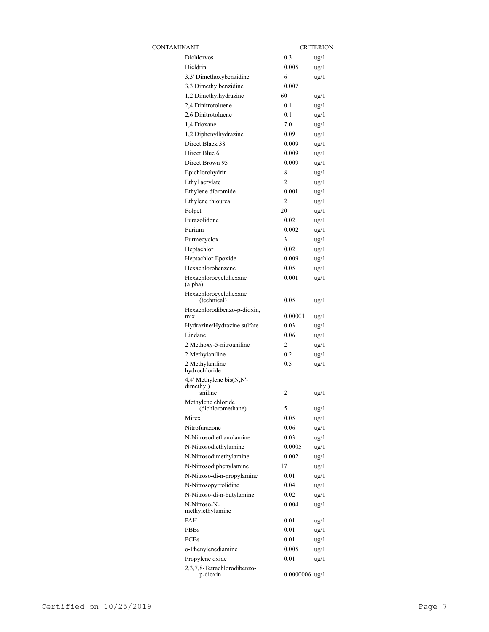| CONTAMINANT |                                         |                  | <b>CRITERION</b> |
|-------------|-----------------------------------------|------------------|------------------|
|             | Dichlorvos                              | 0.3              | $\frac{u g}{1}$  |
|             | Dieldrin                                | 0.005            | $\frac{u g}{1}$  |
|             | 3,3' Dimethoxybenzidine                 | 6                | $\frac{u}{g}$    |
|             | 3,3 Dimethylbenzidine                   | 0.007            |                  |
|             | 1,2 Dimethylhydrazine                   | 60               | $u$ g/1          |
|             | 2,4 Dinitrotoluene                      | 0.1              | $\frac{u}{g}$    |
|             | 2,6 Dinitrotoluene                      | 0.1              | $\frac{u}{g}$    |
|             | 1.4 Dioxane                             | 7.0              | $\frac{u}{g}$    |
|             | 1,2 Diphenylhydrazine                   | 0.09             | $\frac{u}{g}$    |
|             | Direct Black 38                         | 0.009            | $\frac{u}{g}$    |
|             | Direct Blue 6                           | 0.009            | $\frac{u}{g}$    |
|             | Direct Brown 95                         | 0.009            | $\frac{u}{g}$    |
|             | Epichlorohydrin                         | 8                | $\frac{u}{g}$    |
|             | Ethyl acrylate                          | 2                | $\frac{u}{g}$    |
|             | Ethylene dibromide                      | 0.001            | $\frac{u}{g}$    |
|             | Ethylene thiourea                       | $\overline{2}$   | $\frac{u}{g}$    |
|             | Folpet                                  | 20               | $\frac{u}{g}$    |
|             | Furazolidone                            | 0.02             | $\frac{u}{g}$    |
|             | Furium                                  | 0.002            | $\frac{u g}{1}$  |
|             | Furmecyclox                             | 3                | $\frac{u}{g}$    |
|             | Heptachlor                              | 0.02             | $\frac{u g}{1}$  |
|             | Heptachlor Epoxide                      | 0.009            | $\frac{u}{2}$    |
|             | Hexachlorobenzene                       | 0.05             | $\frac{u}{2}$    |
|             | Hexachlorocyclohexane<br>(alpha)        | 0.001            | $\frac{u g}{1}$  |
|             | Hexachlorocyclohexane<br>(technical)    | 0.05             | ug/1             |
|             | Hexachlorodibenzo-p-dioxin,<br>mix      | 0.00001          | $\frac{u g}{1}$  |
|             | Hydrazine/Hydrazine sulfate             | 0.03             | $\frac{u g}{1}$  |
|             | Lindane                                 | 0.06             | $\frac{u g}{1}$  |
|             | 2 Methoxy-5-nitroaniline                | 2                | $\frac{u g}{1}$  |
|             | 2 Methylaniline                         | 0.2              | $\frac{u g}{1}$  |
|             | 2 Methylaniline<br>hydrochloride        | 0.5              | $\frac{u g}{1}$  |
|             | 4,4' Methylene bis(N,N'-                |                  |                  |
|             | dimethyl)<br>aniline                    | 2                | $\frac{u g}{1}$  |
|             | Methylene chloride<br>(dichloromethane) | 5                | ug/l             |
|             | Mirex                                   | 0.05             | $\frac{u g}{1}$  |
|             | Nitrofurazone                           | 0.06             | $\frac{u g}{1}$  |
|             | N-Nitrosodiethanolamine                 | 0.03             | $\frac{u g}{1}$  |
|             | N-Nitrosodiethylamine                   | 0.0005           | $\frac{u g}{1}$  |
|             | N-Nitrosodimethylamine                  | 0.002            | $\frac{u g}{1}$  |
|             | N-Nitrosodiphenylamine                  | 17               | $\frac{u g}{1}$  |
|             | N-Nitroso-di-n-propylamine              | 0.01             | $\frac{u g}{1}$  |
|             | N-Nitrosopyrrolidine                    | 0.04             | $\frac{u g}{1}$  |
|             | N-Nitroso-di-n-butylamine               | 0.02             | $\frac{u g}{1}$  |
|             | N-Nitroso-N-<br>methylethylamine        | 0.004            | $\frac{u g}{1}$  |
|             | PAH                                     | 0.01             | ug/1             |
|             | <b>PBBs</b>                             | 0.01             | ug/1             |
|             | <b>PCBs</b>                             | 0.01             | ug/1             |
|             | o-Phenylenediamine                      | 0.005            | $\frac{u g}{1}$  |
|             | Propylene oxide                         | 0.01             | ug/1             |
|             | 2,3,7,8-Tetrachlorodibenzo-<br>p-dioxin | $0.0000006$ ug/1 |                  |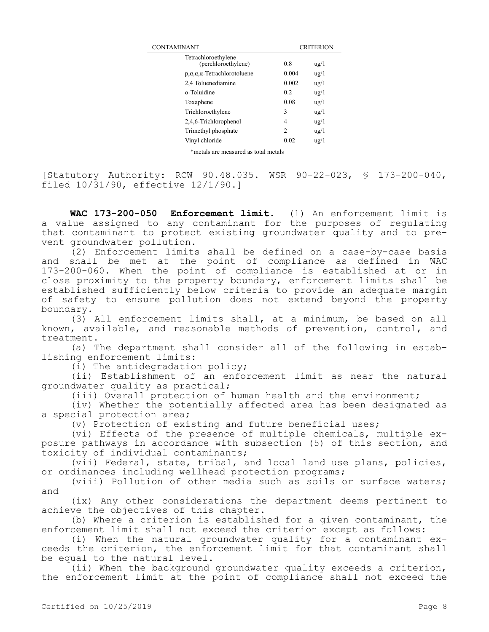| CONTAMINANT                                     | <b>CRITERION</b> |                 |  |
|-------------------------------------------------|------------------|-----------------|--|
| Tetrachloroethylene<br>(perchloroethylene)      | 0.8              | $\frac{u}{g}$   |  |
| $p, \alpha, \alpha, \alpha$ -Tetrachlorotoluene | 0.004            | $u\mathbf{g}/1$ |  |
| 2.4 Toluenediamine                              | 0.002            | $u\text{g}/1$   |  |
| o-Toluidine                                     | 0.2              | $u\text{g}/1$   |  |
| Toxaphene                                       | 0.08             | $u\text{g}/1$   |  |
| Trichloroethylene                               | 3                | $u\text{g}/1$   |  |
| 2,4,6-Trichlorophenol                           | 4                | $u\text{g}/1$   |  |
| Trimethyl phosphate                             | 2                | $u\text{g}/1$   |  |
| Vinyl chloride                                  | 0.02             | $\frac{u g}{1}$ |  |
|                                                 |                  |                 |  |

\*metals are measured as total metals

[Statutory Authority: RCW 90.48.035. WSR 90-22-023, § 173-200-040, filed 10/31/90, effective 12/1/90.]

**WAC 173-200-050 Enforcement limit.** (1) An enforcement limit is a value assigned to any contaminant for the purposes of regulating that contaminant to protect existing groundwater quality and to prevent groundwater pollution.

(2) Enforcement limits shall be defined on a case-by-case basis and shall be met at the point of compliance as defined in WAC 173-200-060. When the point of compliance is established at or in close proximity to the property boundary, enforcement limits shall be established sufficiently below criteria to provide an adequate margin of safety to ensure pollution does not extend beyond the property boundary.

(3) All enforcement limits shall, at a minimum, be based on all known, available, and reasonable methods of prevention, control, and treatment.

(a) The department shall consider all of the following in establishing enforcement limits:

(i) The antidegradation policy;

(ii) Establishment of an enforcement limit as near the natural groundwater quality as practical;

(iii) Overall protection of human health and the environment;

(iv) Whether the potentially affected area has been designated as a special protection area;

(v) Protection of existing and future beneficial uses;

(vi) Effects of the presence of multiple chemicals, multiple exposure pathways in accordance with subsection (5) of this section, and toxicity of individual contaminants;

(vii) Federal, state, tribal, and local land use plans, policies, or ordinances including wellhead protection programs;

(viii) Pollution of other media such as soils or surface waters; and

(ix) Any other considerations the department deems pertinent to achieve the objectives of this chapter.

(b) Where a criterion is established for a given contaminant, the enforcement limit shall not exceed the criterion except as follows:

(i) When the natural groundwater quality for a contaminant exceeds the criterion, the enforcement limit for that contaminant shall be equal to the natural level.

(ii) When the background groundwater quality exceeds a criterion, the enforcement limit at the point of compliance shall not exceed the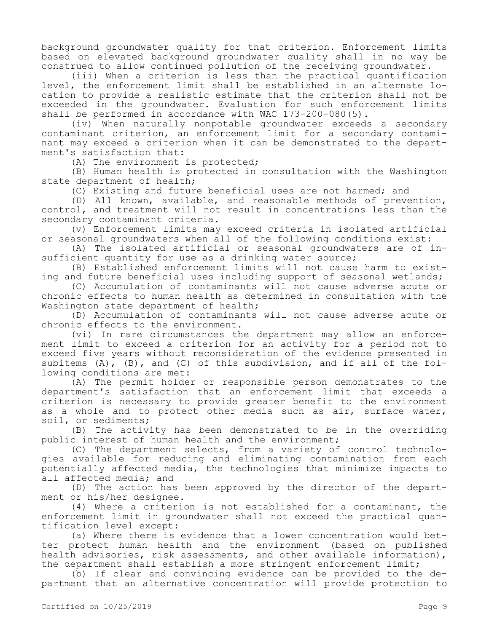background groundwater quality for that criterion. Enforcement limits based on elevated background groundwater quality shall in no way be construed to allow continued pollution of the receiving groundwater.

(iii) When a criterion is less than the practical quantification level, the enforcement limit shall be established in an alternate location to provide a realistic estimate that the criterion shall not be exceeded in the groundwater. Evaluation for such enforcement limits shall be performed in accordance with WAC 173-200-080(5).

(iv) When naturally nonpotable groundwater exceeds a secondary contaminant criterion, an enforcement limit for a secondary contaminant may exceed a criterion when it can be demonstrated to the department's satisfaction that:

(A) The environment is protected;

(B) Human health is protected in consultation with the Washington state department of health;

(C) Existing and future beneficial uses are not harmed; and

(D) All known, available, and reasonable methods of prevention, control, and treatment will not result in concentrations less than the secondary contaminant criteria.

(v) Enforcement limits may exceed criteria in isolated artificial or seasonal groundwaters when all of the following conditions exist:

(A) The isolated artificial or seasonal groundwaters are of insufficient quantity for use as a drinking water source;

(B) Established enforcement limits will not cause harm to existing and future beneficial uses including support of seasonal wetlands;

(C) Accumulation of contaminants will not cause adverse acute or chronic effects to human health as determined in consultation with the Washington state department of health;

(D) Accumulation of contaminants will not cause adverse acute or chronic effects to the environment.

(vi) In rare circumstances the department may allow an enforcement limit to exceed a criterion for an activity for a period not to exceed five years without reconsideration of the evidence presented in subitems (A), (B), and (C) of this subdivision, and if all of the following conditions are met:

(A) The permit holder or responsible person demonstrates to the department's satisfaction that an enforcement limit that exceeds a criterion is necessary to provide greater benefit to the environment as a whole and to protect other media such as air, surface water, soil, or sediments;

(B) The activity has been demonstrated to be in the overriding public interest of human health and the environment;

(C) The department selects, from a variety of control technologies available for reducing and eliminating contamination from each potentially affected media, the technologies that minimize impacts to all affected media; and

(D) The action has been approved by the director of the department or his/her designee.

(4) Where a criterion is not established for a contaminant, the enforcement limit in groundwater shall not exceed the practical quantification level except:

(a) Where there is evidence that a lower concentration would better protect human health and the environment (based on published health advisories, risk assessments, and other available information), the department shall establish a more stringent enforcement limit;

(b) If clear and convincing evidence can be provided to the department that an alternative concentration will provide protection to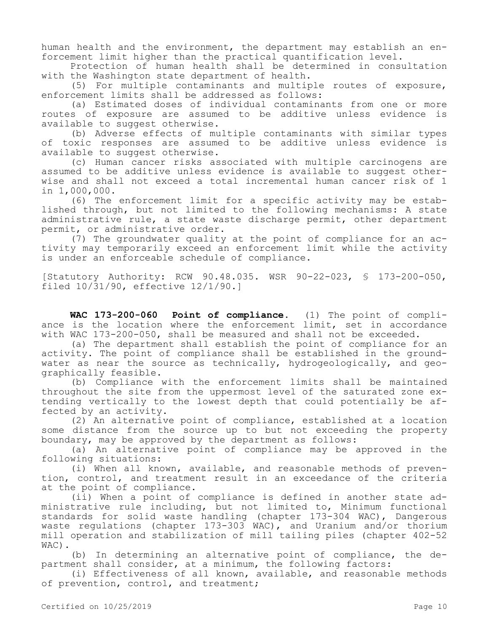human health and the environment, the department may establish an enforcement limit higher than the practical quantification level.

Protection of human health shall be determined in consultation with the Washington state department of health.

(5) For multiple contaminants and multiple routes of exposure, enforcement limits shall be addressed as follows:

(a) Estimated doses of individual contaminants from one or more routes of exposure are assumed to be additive unless evidence is available to suggest otherwise.

(b) Adverse effects of multiple contaminants with similar types of toxic responses are assumed to be additive unless evidence is available to suggest otherwise.

(c) Human cancer risks associated with multiple carcinogens are assumed to be additive unless evidence is available to suggest otherwise and shall not exceed a total incremental human cancer risk of 1 in 1,000,000.

(6) The enforcement limit for a specific activity may be established through, but not limited to the following mechanisms: A state administrative rule, a state waste discharge permit, other department permit, or administrative order.

(7) The groundwater quality at the point of compliance for an activity may temporarily exceed an enforcement limit while the activity is under an enforceable schedule of compliance.

[Statutory Authority: RCW 90.48.035. WSR 90-22-023, § 173-200-050, filed 10/31/90, effective 12/1/90.]

**WAC 173-200-060 Point of compliance.** (1) The point of compliance is the location where the enforcement limit, set in accordance with WAC 173-200-050, shall be measured and shall not be exceeded.

(a) The department shall establish the point of compliance for an activity. The point of compliance shall be established in the groundwater as near the source as technically, hydrogeologically, and geographically feasible.

(b) Compliance with the enforcement limits shall be maintained throughout the site from the uppermost level of the saturated zone extending vertically to the lowest depth that could potentially be affected by an activity.

(2) An alternative point of compliance, established at a location some distance from the source up to but not exceeding the property boundary, may be approved by the department as follows:

(a) An alternative point of compliance may be approved in the following situations:

(i) When all known, available, and reasonable methods of prevention, control, and treatment result in an exceedance of the criteria at the point of compliance.

(ii) When a point of compliance is defined in another state administrative rule including, but not limited to, Minimum functional standards for solid waste handling (chapter 173-304 WAC), Dangerous waste regulations (chapter 173-303 WAC), and Uranium and/or thorium mill operation and stabilization of mill tailing piles (chapter 402-52 WAC).

(b) In determining an alternative point of compliance, the department shall consider, at a minimum, the following factors:

(i) Effectiveness of all known, available, and reasonable methods of prevention, control, and treatment;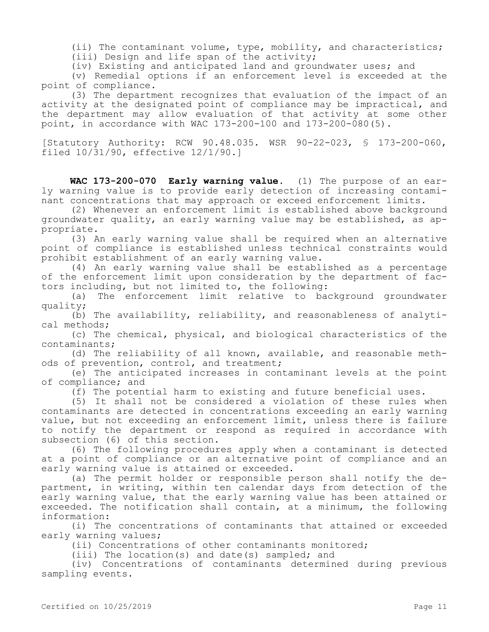(ii) The contaminant volume, type, mobility, and characteristics;

(iii) Design and life span of the activity;

(iv) Existing and anticipated land and groundwater uses; and

(v) Remedial options if an enforcement level is exceeded at the point of compliance.

(3) The department recognizes that evaluation of the impact of an activity at the designated point of compliance may be impractical, and the department may allow evaluation of that activity at some other point, in accordance with WAC 173-200-100 and 173-200-080(5).

[Statutory Authority: RCW 90.48.035. WSR 90-22-023, § 173-200-060, filed 10/31/90, effective 12/1/90.]

**WAC 173-200-070 Early warning value.** (1) The purpose of an early warning value is to provide early detection of increasing contaminant concentrations that may approach or exceed enforcement limits.

(2) Whenever an enforcement limit is established above background groundwater quality, an early warning value may be established, as appropriate.

(3) An early warning value shall be required when an alternative point of compliance is established unless technical constraints would prohibit establishment of an early warning value.

(4) An early warning value shall be established as a percentage of the enforcement limit upon consideration by the department of factors including, but not limited to, the following:

(a) The enforcement limit relative to background groundwater quality;

(b) The availability, reliability, and reasonableness of analytical methods;

(c) The chemical, physical, and biological characteristics of the contaminants;

(d) The reliability of all known, available, and reasonable methods of prevention, control, and treatment;

(e) The anticipated increases in contaminant levels at the point of compliance; and

(f) The potential harm to existing and future beneficial uses.

(5) It shall not be considered a violation of these rules when contaminants are detected in concentrations exceeding an early warning value, but not exceeding an enforcement limit, unless there is failure to notify the department or respond as required in accordance with subsection (6) of this section.

(6) The following procedures apply when a contaminant is detected at a point of compliance or an alternative point of compliance and an early warning value is attained or exceeded.

(a) The permit holder or responsible person shall notify the department, in writing, within ten calendar days from detection of the early warning value, that the early warning value has been attained or exceeded. The notification shall contain, at a minimum, the following information:

(i) The concentrations of contaminants that attained or exceeded early warning values;

(ii) Concentrations of other contaminants monitored;

(iii) The location(s) and date(s) sampled; and

(iv) Concentrations of contaminants determined during previous sampling events.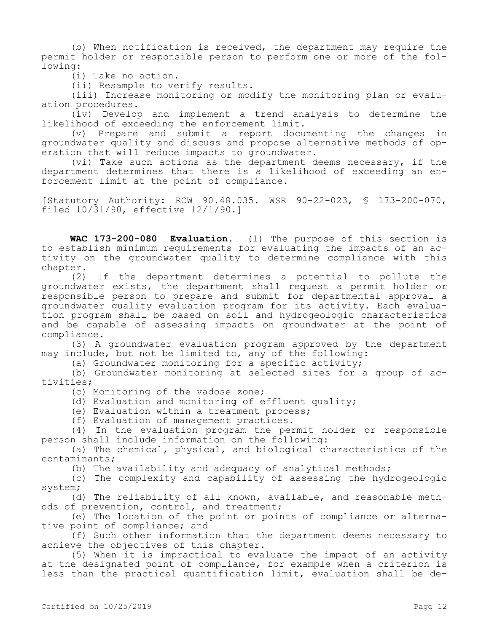(b) When notification is received, the department may require the permit holder or responsible person to perform one or more of the following:

(i) Take no action.

(ii) Resample to verify results.

(iii) Increase monitoring or modify the monitoring plan or evaluation procedures.

(iv) Develop and implement a trend analysis to determine the likelihood of exceeding the enforcement limit.

(v) Prepare and submit a report documenting the changes in groundwater quality and discuss and propose alternative methods of operation that will reduce impacts to groundwater.

(vi) Take such actions as the department deems necessary, if the department determines that there is a likelihood of exceeding an enforcement limit at the point of compliance.

[Statutory Authority: RCW 90.48.035. WSR 90-22-023, § 173-200-070, filed 10/31/90, effective 12/1/90.]

**WAC 173-200-080 Evaluation.** (1) The purpose of this section is to establish minimum requirements for evaluating the impacts of an activity on the groundwater quality to determine compliance with this chapter.

(2) If the department determines a potential to pollute the groundwater exists, the department shall request a permit holder or responsible person to prepare and submit for departmental approval a groundwater quality evaluation program for its activity. Each evaluation program shall be based on soil and hydrogeologic characteristics and be capable of assessing impacts on groundwater at the point of compliance.

(3) A groundwater evaluation program approved by the department may include, but not be limited to, any of the following:

(a) Groundwater monitoring for a specific activity;

(b) Groundwater monitoring at selected sites for a group of activities;

(c) Monitoring of the vadose zone;

(d) Evaluation and monitoring of effluent quality;

(e) Evaluation within a treatment process;

(f) Evaluation of management practices.

(4) In the evaluation program the permit holder or responsible person shall include information on the following:

(a) The chemical, physical, and biological characteristics of the contaminants;

(b) The availability and adequacy of analytical methods;

(c) The complexity and capability of assessing the hydrogeologic system;

(d) The reliability of all known, available, and reasonable methods of prevention, control, and treatment;

(e) The location of the point or points of compliance or alternative point of compliance; and

(f) Such other information that the department deems necessary to achieve the objectives of this chapter.

(5) When it is impractical to evaluate the impact of an activity at the designated point of compliance, for example when a criterion is less than the practical quantification limit, evaluation shall be de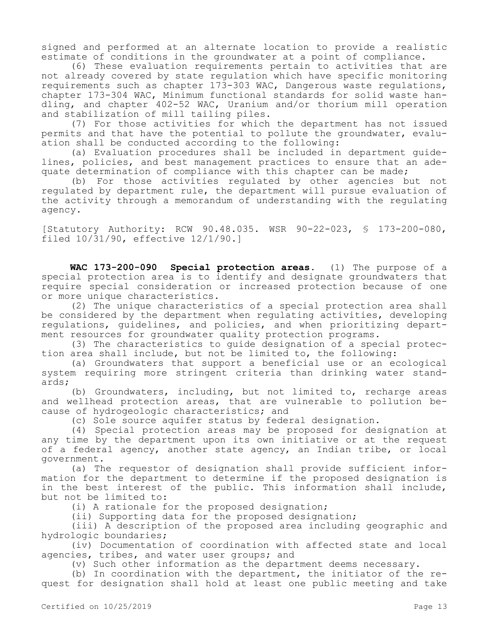signed and performed at an alternate location to provide a realistic estimate of conditions in the groundwater at a point of compliance.

(6) These evaluation requirements pertain to activities that are not already covered by state regulation which have specific monitoring requirements such as chapter 173-303 WAC, Dangerous waste regulations, chapter 173-304 WAC, Minimum functional standards for solid waste handling, and chapter 402-52 WAC, Uranium and/or thorium mill operation and stabilization of mill tailing piles.

(7) For those activities for which the department has not issued permits and that have the potential to pollute the groundwater, evaluation shall be conducted according to the following:

(a) Evaluation procedures shall be included in department guidelines, policies, and best management practices to ensure that an adequate determination of compliance with this chapter can be made;

(b) For those activities regulated by other agencies but not regulated by department rule, the department will pursue evaluation of the activity through a memorandum of understanding with the regulating agency.

[Statutory Authority: RCW 90.48.035. WSR 90-22-023, § 173-200-080, filed 10/31/90, effective 12/1/90.]

**WAC 173-200-090 Special protection areas.** (1) The purpose of a special protection area is to identify and designate groundwaters that require special consideration or increased protection because of one or more unique characteristics.

(2) The unique characteristics of a special protection area shall be considered by the department when regulating activities, developing regulations, guidelines, and policies, and when prioritizing department resources for groundwater quality protection programs.

(3) The characteristics to guide designation of a special protection area shall include, but not be limited to, the following:

(a) Groundwaters that support a beneficial use or an ecological system requiring more stringent criteria than drinking water standards;

(b) Groundwaters, including, but not limited to, recharge areas and wellhead protection areas, that are vulnerable to pollution because of hydrogeologic characteristics; and

(c) Sole source aquifer status by federal designation.

(4) Special protection areas may be proposed for designation at any time by the department upon its own initiative or at the request of a federal agency, another state agency, an Indian tribe, or local government.

(a) The requestor of designation shall provide sufficient information for the department to determine if the proposed designation is in the best interest of the public. This information shall include, but not be limited to:

(i) A rationale for the proposed designation;

(ii) Supporting data for the proposed designation;

(iii) A description of the proposed area including geographic and hydrologic boundaries;

(iv) Documentation of coordination with affected state and local agencies, tribes, and water user groups; and

(v) Such other information as the department deems necessary.

(b) In coordination with the department, the initiator of the request for designation shall hold at least one public meeting and take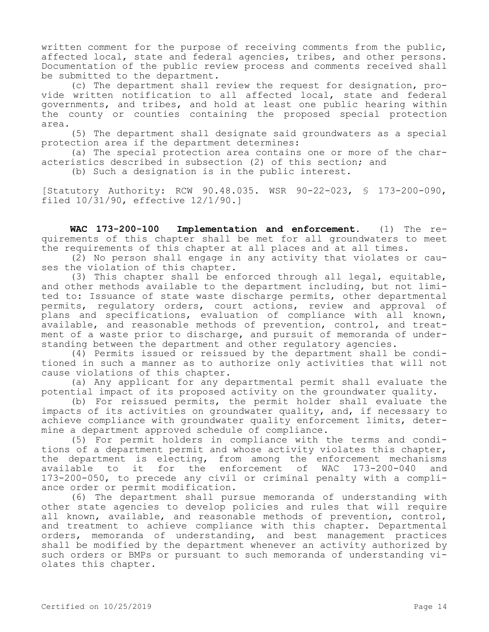written comment for the purpose of receiving comments from the public, affected local, state and federal agencies, tribes, and other persons. Documentation of the public review process and comments received shall be submitted to the department.

(c) The department shall review the request for designation, provide written notification to all affected local, state and federal governments, and tribes, and hold at least one public hearing within the county or counties containing the proposed special protection area.

(5) The department shall designate said groundwaters as a special protection area if the department determines:

(a) The special protection area contains one or more of the characteristics described in subsection (2) of this section; and

(b) Such a designation is in the public interest.

[Statutory Authority: RCW 90.48.035. WSR 90-22-023, § 173-200-090, filed 10/31/90, effective 12/1/90.]

**WAC 173-200-100 Implementation and enforcement.** (1) The requirements of this chapter shall be met for all groundwaters to meet the requirements of this chapter at all places and at all times.

(2) No person shall engage in any activity that violates or causes the violation of this chapter.

(3) This chapter shall be enforced through all legal, equitable, and other methods available to the department including, but not limited to: Issuance of state waste discharge permits, other departmental permits, regulatory orders, court actions, review and approval of plans and specifications, evaluation of compliance with all known, available, and reasonable methods of prevention, control, and treatment of a waste prior to discharge, and pursuit of memoranda of understanding between the department and other regulatory agencies.

(4) Permits issued or reissued by the department shall be conditioned in such a manner as to authorize only activities that will not cause violations of this chapter.

(a) Any applicant for any departmental permit shall evaluate the potential impact of its proposed activity on the groundwater quality.

(b) For reissued permits, the permit holder shall evaluate the impacts of its activities on groundwater quality, and, if necessary to achieve compliance with groundwater quality enforcement limits, determine a department approved schedule of compliance.

(5) For permit holders in compliance with the terms and conditions of a department permit and whose activity violates this chapter, the department is electing, from among the enforcement mechanisms available to it for the enforcement of WAC 173-200-040 and 173-200-050, to precede any civil or criminal penalty with a compliance order or permit modification.

(6) The department shall pursue memoranda of understanding with other state agencies to develop policies and rules that will require all known, available, and reasonable methods of prevention, control, and treatment to achieve compliance with this chapter. Departmental orders, memoranda of understanding, and best management practices shall be modified by the department whenever an activity authorized by such orders or BMPs or pursuant to such memoranda of understanding violates this chapter.